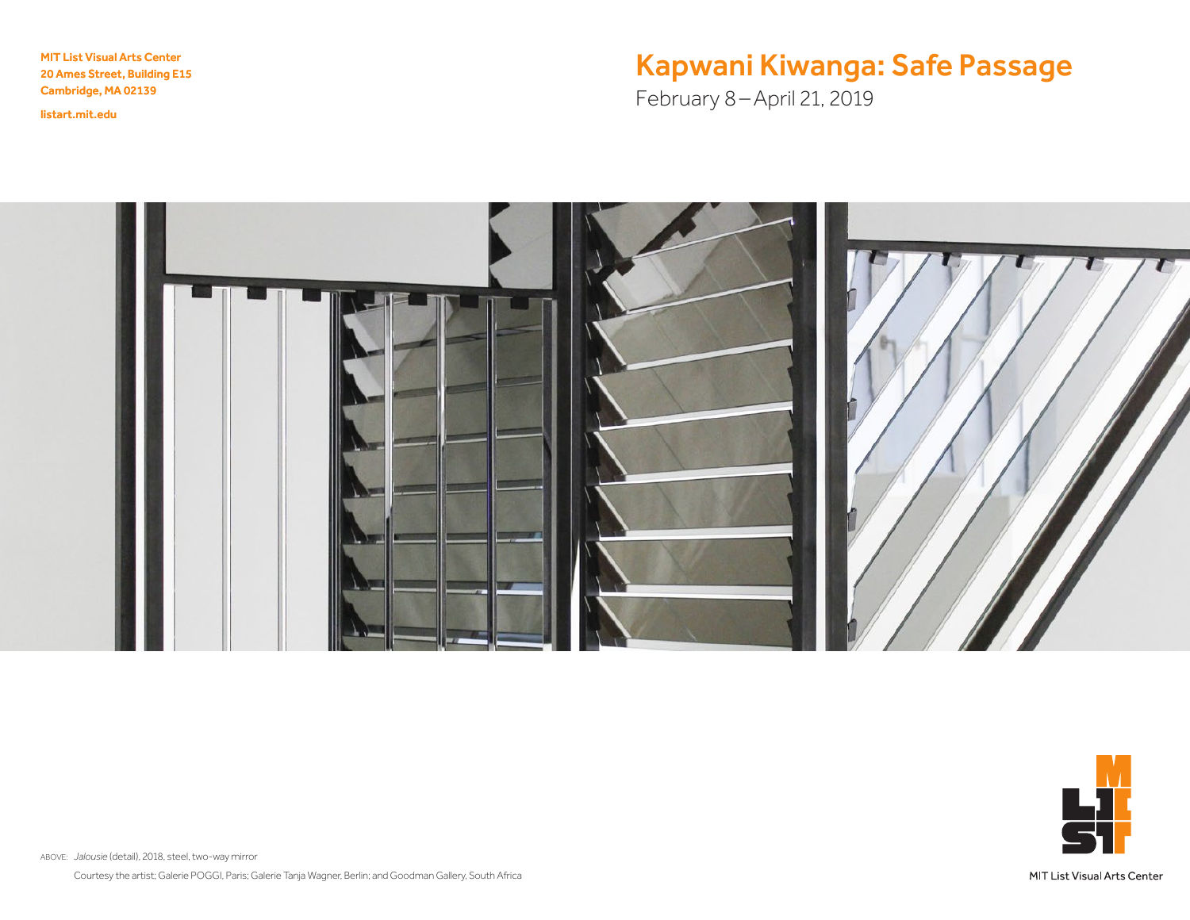MIT List Visual Arts Center 20 Ames Street, Building E15 Cambridge, MA 02139

<listart.mit.edu>

# Kapwani Kiwanga: Safe Passage

February 8–April 21, 2019